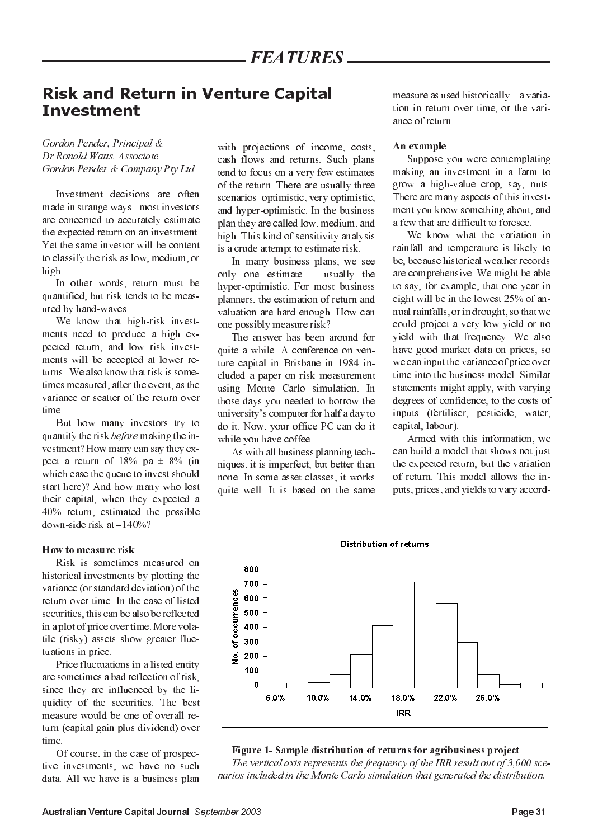# **Risk and Return in Venture Capital Investment**

# Gordon Pender, Principal & Dr Ronald Watts, Associate Gordon Pender & Company Pty Ltd

Investment decisions are often made in strange ways: most investors are concerned to accurately estimate the expected return on an investment. Yet the same investor will be content to classify the risk as low, medium, or high.

In other words, return must be quantified, but risk tends to be measured by hand-waves.

We know that high-risk investments need to produce a high expected return, and low risk investments will be accepted at lower returns. We also know that risk is sometimes measured, after the event, as the variance or scatter of the return over time

But how many investors try to quantify the risk *before* making the investment? How many can say they expect a return of 18% pa  $\pm$  8% (in which case the queue to invest should start here)? And how many who lost their capital, when they expected a 40% return, estimated the possible down-side risk at  $-140\%$ ?

### How to measure risk

Risk is sometimes measured on historical investments by plotting the variance (or standard deviation) of the return over time. In the case of listed securities, this can be also be reflected in a plot of price over time. More volatile (risky) assets show greater fluctuations in price.

Price fluctuations in a listed entity are sometimes a bad reflection of risk. since they are influenced by the liquidity of the securities. The best measure would be one of overall return (capital gain plus dividend) over time.

Of course, in the case of prospective investments, we have no such data. All we have is a business plan with projections of income, costs, cash flows and returns. Such plans tend to focus on a very few estimates of the return. There are usually three scenarios: optimistic, very optimistic, and hyper-optimistic. In the business plan they are called low, medium, and high. This kind of sensitivity analysis is a crude attempt to estimate risk.

In many business plans, we see only one estimate – usually the hyper-optimistic. For most business planners, the estimation of return and valuation are hard enough. How can one possibly measure risk?

The answer has been around for quite a while. A conference on venture capital in Brisbane in 1984 included a paper on risk measurement using Monte Carlo simulation. In those days you needed to borrow the university's computer for half a day to do it. Now, your office PC can do it while you have coffee.

As with all business planning techniques, it is imperfect, but better than none. In some asset classes, it works quite well. It is based on the same measure as used historically - a variation in return over time, or the variance of return

## An example

Suppose you were contemplating making an investment in a farm to grow a high-value crop, say, nuts. There are many aspects of this investment you know something about, and a few that are difficult to foresee.

We know what the variation in rainfall and temperature is likely to be, because historical weather records are comprehensive. We might be able to say, for example, that one year in eight will be in the lowest 25% of annual rainfalls, or in drought, so that we could project a very low yield or no yield with that frequency. We also have good market data on prices, so we can input the variance of price over time into the business model. Similar statements might apply, with varying degrees of confidence, to the costs of inputs (fertiliser, pesticide, water, capital, labour).

Armed with this information, we can build a model that shows not just the expected return, but the variation of return. This model allows the inputs, prices, and yields to vary accord-



# Figure 1- Sample distribution of returns for agribusiness project

The vertical axis represents the frequency of the IRR result out of 3,000 scenarios included in the Monte Carlo simulation that generated the distribution.